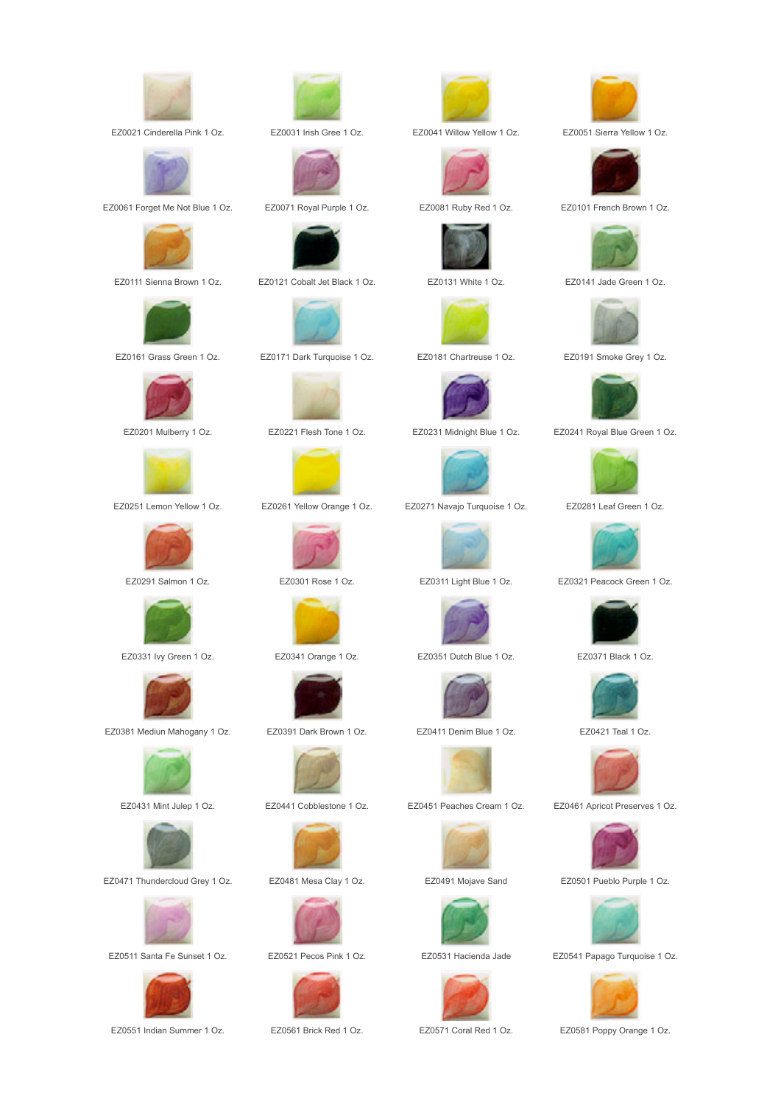

EZ0021 Cinderella Pink 1 Oz. EZ0031 Irish Gree 1 Oz. EZ0041 Willow Yellow 1 Oz. EZ0051 Sierra Yellow 1 Oz.



EZ0061 Forget Me Not Blue 1 Oz. EZ0071 Royal Purple 1 Oz. EZ0081 Ruby Red 1 Oz. EZ0101 French Brown 1 Oz.













EZ0381 Mediun Mahogany 1 Oz. EZ0391 Dark Brown 1 Oz. EZ0411 Denim Blue 1 Oz. EZ0421 Teal 1 Oz.





EZ0471 Thundercloud Grey 1 Oz. EZ0481 Mesa Clay 1 Oz. EZ0491 Mojave Sand EZ0501 Pueblo Purple 1 Oz.











EZ0111 Sienna Brown 1 Oz. EZ0121 Cobalt Jet Black 1 Oz. EZ0131 White 1 Oz. EZ0141 Jade Green 1 Oz.



EZ0161 Grass Green 1 Oz. EZ0171 Dark Turquoise 1 Oz. EZ0181 Chartreuse 1 Oz. EZ0191 Smoke Grey 1 Oz.































EZ0251 Lemon Yellow 1 Oz. EZ0261 Yellow Orange 1 Oz. EZ0271 Navajo Turquoise 1 Oz. EZ0281 Leaf Green 1 Oz.





EZ0331 Ivy Green 1 Oz. EZ0341 Orange 1 Oz. EZ0351 Dutch Blue 1 Oz. EZ0371 Black 1 Oz.





EZ0431 Mint Julep 1 Oz. EZ0441 Cobblestone 1 Oz. EZ0451 Peaches Cream 1 Oz. EZ0461 Apricot Preserves 1 Oz.













EZ0201 Mulberry 1 Oz. EZ0221 Flesh Tone 1 Oz. EZ0231 Midnight Blue 1 Oz. EZ0241 Royal Blue Green 1 Oz.





EZ0291 Salmon 1 Oz. EZ0301 Rose 1 Oz. EZ0311 Light Blue 1 Oz. EZ0321 Peacock Green 1 Oz.













EZ0511 Santa Fe Sunset 1 Oz. EZ0521 Pecos Pink 1 Oz. EZ0531 Hacienda Jade EZ0541 Papago Turquoise 1 Oz.



EZ0551 Indian Summer 1 Oz. EZ0561 Brick Red 1 Oz. EZ0571 Coral Red 1 Oz. EZ0581 Poppy Orange 1 Oz.